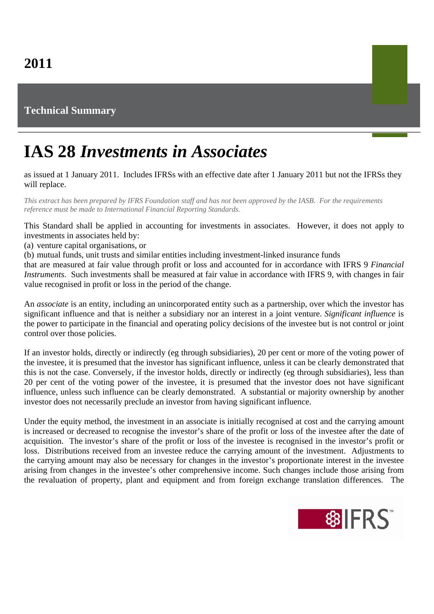## **Technical Summary**

## **IAS 28** *Investments in Associates*

as issued at 1 January 2011. Includes IFRSs with an effective date after 1 January 2011 but not the IFRSs they will replace.

*This extract has been prepared by IFRS Foundation staff and has not been approved by the IASB. For the requirements reference must be made to International Financial Reporting Standards.*

This Standard shall be applied in accounting for investments in associates. However, it does not apply to investments in associates held by:

(a) venture capital organisations, or

(b) mutual funds, unit trusts and similar entities including investment-linked insurance funds

that are measured at fair value through profit or loss and accounted for in accordance with IFRS 9 *Financial Instruments*. Such investments shall be measured at fair value in accordance with IFRS 9, with changes in fair value recognised in profit or loss in the period of the change.

An *associate* is an entity, including an unincorporated entity such as a partnership, over which the investor has significant influence and that is neither a subsidiary nor an interest in a joint venture. *Significant influence* is the power to participate in the financial and operating policy decisions of the investee but is not control or joint control over those policies.

If an investor holds, directly or indirectly (eg through subsidiaries), 20 per cent or more of the voting power of the investee, it is presumed that the investor has significant influence, unless it can be clearly demonstrated that this is not the case. Conversely, if the investor holds, directly or indirectly (eg through subsidiaries), less than 20 per cent of the voting power of the investee, it is presumed that the investor does not have significant influence, unless such influence can be clearly demonstrated. A substantial or majority ownership by another investor does not necessarily preclude an investor from having significant influence.

Under the equity method, the investment in an associate is initially recognised at cost and the carrying amount is increased or decreased to recognise the investor's share of the profit or loss of the investee after the date of acquisition. The investor's share of the profit or loss of the investee is recognised in the investor's profit or loss. Distributions received from an investee reduce the carrying amount of the investment. Adjustments to the carrying amount may also be necessary for changes in the investor's proportionate interest in the investee arising from changes in the investee's other comprehensive income. Such changes include those arising from the revaluation of property, plant and equipment and from foreign exchange translation differences. The